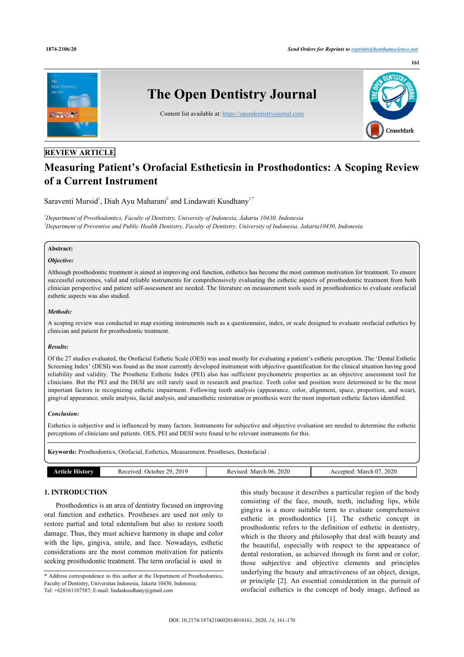

# **REVIEW ARTICLE**

# **Measuring Patient's Orofacial Estheticsin in Prosthodontics: A Scoping Review of a Current Instrument**

Saraventi Mursid<sup>[1](#page-0-0)</sup>, Diah Ayu Maharani<sup>[2](#page-0-1)</sup> and Lindawati Kusdhany<sup>1[,\\*](#page-0-2)</sup>

<span id="page-0-1"></span><span id="page-0-0"></span>*<sup>1</sup>Department of Prosthodontics, Faculty of Dentistry, University of Indonesia, Jakarta 10430, Indonesia <sup>2</sup>Department of Preventive and Public Health Dentistry, Faculty of Dentistry, University of Indonesia, Jakarta10430, Indonesia*

# **Abstract:**

### *Objective:*

Although prosthodontic treatment is aimed at improving oral function, esthetics has become the most common motivation for treatment. To ensure successful outcomes, valid and reliable instruments for comprehensively evaluating the esthetic aspects of prosthodontic treatment from both clinician perspective and patient self-assessment are needed. The literature on measurement tools used in prosthodontics to evaluate orofacial esthetic aspects was also studied.

### *Methods:*

A scoping review was conducted to map existing instruments such as a questionnaire, index, or scale designed to evaluate orofacial esthetics by clinician and patient for prosthodontic treatment.

### *Results:*

Of the 27 studies evaluated, the Orofacial Esthetic Scale (OES) was used mostly for evaluating a patient's esthetic perception. The 'Dental Esthetic Screening Index' (DESI) was found as the most currently developed instrument with objective quantification for the clinical situation having good reliability and validity. The Prosthetic Esthetic Index (PEI) also has sufficient psychometric properties as an objective assessment tool for clinicians. But the PEI and the DESI are still rarely used in research and practice. Teeth color and position were determined to be the most important factors in recognizing esthetic impairment. Following tooth analysis (appearance, color, alignment, space, proportion, and wear), gingival appearance, smile analysis, facial analysis, and unaesthetic restoration or prosthesis were the most important esthetic factors identified.

### *Conclusion:*

Esthetics is subjective and is influenced by many factors. Instruments for subjective and objective evaluation are needed to determine the esthetic perceptions of clinicians and patients. OES, PEI and DESI were found to be relevant instruments for this.

**Keywords:** Prosthodontics, Orofacial, Esthetics, Measurement, Prostheses, Dentofacial .

| 2019<br>າດ<br>Received:<br>. Jetober | 2020<br>March 06.<br>Pevised.<br>nc. | 2020<br>March<br>A ccented |
|--------------------------------------|--------------------------------------|----------------------------|

# **1. INTRODUCTION**

Prosthodontics is an area of dentistry focused on improving oral function and esthetics. Prostheses are used not only to restore partial and total edentulism but also to restore tooth damage. Thus, they must achieve harmony in shape and color with the lips, gingiva, smile, and face. Nowadays, esthetic considerations are the most common motivation for patients seeking prosthodontic treatment. The term orofacial is used in

<span id="page-0-2"></span>\* Address correspondence to this author at the Department of Prosthodontics, Faculty of Dentistry, Universitas Indonesia, Jakarta 10430, Indonesia; Tel: +628161107587; E-mail: [lindaskusdhany@gmail.com](mailto:lindaskusdhany@gmail.com)

this study because it describes a particular region of the body consisting of the face, mouth, teeth, including lips, while gingiva is a more suitable term to evaluate comprehensive esthetic in prosthodontics[[1](#page-8-0)]. The esthetic concept in prosthodontic refers to the definition of esthetic in dentistry, which is the theory and philosophy that deal with beauty and the beautiful, especially with respect to the appearance of dental restoration, as achieved through its form and or color; those subjective and objective elements and principles underlying the beauty and attractiveness of an object, design, or principle [[2](#page-8-1)]. An essential consideration in the pursuit of orofacial esthetics is the concept of body image, defined as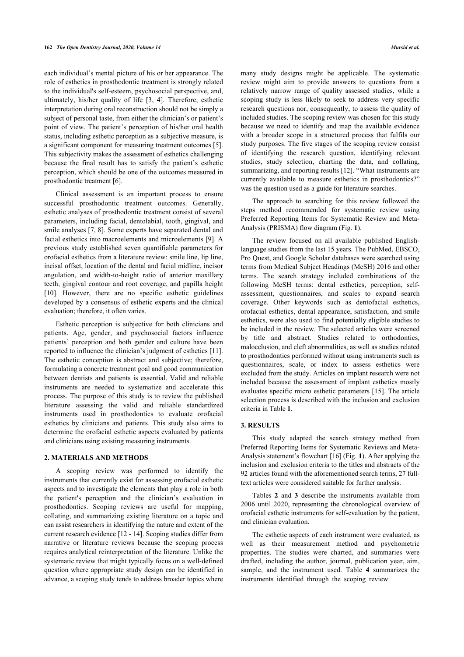each individual's mental picture of his or her appearance. The role of esthetics in prosthodontic treatment is strongly related to the individual's self-esteem, psychosocial perspective, and, ultimately, his/her quality of life [\[3](#page-8-2), [4\]](#page-8-3). Therefore, esthetic interpretation during oral reconstruction should not be simply a subject of personal taste, from either the clinician's or patient's point of view. The patient's perception of his/her oral health status, including esthetic perception as a subjective measure, is a significant component for measuring treatment outcomes [\[5](#page-8-4)]. This subjectivity makes the assessment of esthetics challenging because the final result has to satisfy the patient's esthetic perception, which should be one of the outcomes measured in prosthodontic treatment [[6](#page-8-5)].

Clinical assessment is an important process to ensure successful prosthodontic treatment outcomes. Generally, esthetic analyses of prosthodontic treatment consist of several parameters, including facial, dentolabial, tooth, gingival, and smile analyses [[7,](#page-8-6) [8](#page-8-7)]. Some experts have separated dental and facial esthetics into macroelements and microelements [[9\]](#page-8-8). A previous study established seven quantifiable parameters for orofacial esthetics from a literature review: smile line, lip line, incisal offset, location of the dental and facial midline, incisor angulation, and width-to-height ratio of anterior maxillary teeth, gingival contour and root coverage, and papilla height [[10\]](#page-8-9). However, there are no specific esthetic guidelines developed by a consensus of esthetic experts and the clinical evaluation; therefore, it often varies.

Esthetic perception is subjective for both clinicians and patients. Age, gender, and psychosocial factors influence patients' perception and both gender and culture have [bee](#page-8-10)n reported to influence the clinician's judgment of esthetics [11]. The esthetic conception is abstract and subjective; therefore, formulating a concrete treatment goal and good communication between dentists and patients is essential. Valid and reliable instruments are needed to systematize and accelerate this process. The purpose of this study is to review the published literature assessing the valid and reliable standardized instruments used in prosthodontics to evaluate orofacial esthetics by clinicians and patients. This study also aims to determine the orofacial esthetic aspects evaluated by patients and clinicians using existing measuring instruments.

### **2. MATERIALS AND METHODS**

<span id="page-1-0"></span>A scoping review was performed to identify the instruments that currently exist for assessing orofacial esthetic aspects and to investigate the elements that play a role in both the patient's perception and the clinician's evaluation in prosthodontics. Scoping reviews are useful for mapping, collating, and summarizing existing literature on a topic and can assist researchers in id[ent](#page-8-11)if[yin](#page-8-12)g the nature and extent of the current research evidence [12 - 14]. Scoping studies differ from narrative or literature reviews because the scoping process requires analytical reinterpretation of the literature. Unlike the systematic review that might typically focus on a well-defined question where appropriate study design can be identified in advance, a scoping study tends to address broader topics where

many study designs might be applicable. The systematic review might aim to provide answers to questions from a relatively narrow range of quality assessed studies, while a scoping study is less likely to seek to address very specific research questions nor, consequently, to assess the quality of included studies. The scoping review was chosen for this study because we need to identify and map the available evidence with a broader scope in a structured process that fulfils our study purposes. The five stages of the scoping review consist of identifying the research question, identifying relevant studies, study selection, charting the data, and collating, summarizing, and reporting results [[12\]](#page-8-11). "What instruments are currently available to measure esthetics in prosthodontics?" was the question used as a guide for literature searches.

The approach to searching for this review followed the steps method recommended for systematic review using Preferred Reporting Items for Systematic Review and Meta-Analysis (PRISMA) flow diagram (Fig. **[1](#page-1-0)**).

The review focused on all available published Englishlanguage studies from the last 15 years. The PubMed, EBSCO, Pro Quest, and Google Scholar databases were searched using terms from Medical Subject Headings (MeSH) 2016 and other terms. The search strategy included combinations of the following MeSH terms: dental esthetics, perception, selfassessment, questionnaires, and scales to expand search coverage. Other keywords such as dentofacial esthetics, orofacial esthetics, dental appearance, satisfaction, and smile esthetics, were also used to find potentially eligible studies to be included in the review. The selected articles were screened by title and abstract. Studies related to orthodontics, malocclusion, and cleft abnormalities, as well as studies related to prosthodontics performed without using instruments such as questionnaires, scale, or index to assess esthetics were excluded from the study. Articles on implant research were not included because the assessment of implant esthetics mostly evaluates specific micro esthetic parameters [[15\]](#page-8-13). The article selection process is described with the inclusion and exclusion criteria in Table **[1](#page-2-0)**.

### **3. RESULTS**

This study adapted the search strategy method from Preferred Reporting Items for Systematic Reviews and Meta-Analysis statement's flowchart [\[16](#page-8-14)] (Fig. **[1](#page-1-0)**). After applying the inclusion and exclusion criteria to the titles and abstracts of the 92 articles found with the aforementioned search terms, 27 fulltext articles were considered suitable for further analysis.

Tables**2** and**3** describe the instruments available from 2006 until 2020, representing the chronological overview of orofacial esthetic instruments for self-evaluation by the patient, and clinician evaluation.

The esthetic aspects of each instrument were evaluated, as well as their measurement method and psychometric properties. The studies were charted, and summaries were drafted, including the author, journal, publication year, aim, sample, and the instrument used. Table**4** summarizes the instruments identified through the scoping review.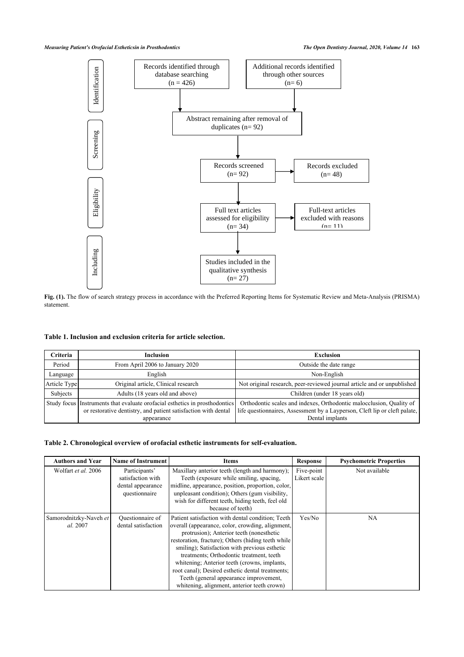### *Measuring Patient's Orofacial Estheticsin in Prosthodontics The Open Dentistry Journal, 2020, Volume 14* **163**



**Fig. (1).** The flow of search strategy process in accordance with the Preferred Reporting Items for Systematic Review and Meta-Analysis (PRISMA) statement.

### <span id="page-2-0"></span>**Table 1. Inclusion and exclusion criteria for article selection.**

| Criteria     | <b>Inclusion</b>                                                                                                                                            | <b>Exclusion</b>                                                                                                                                                      |
|--------------|-------------------------------------------------------------------------------------------------------------------------------------------------------------|-----------------------------------------------------------------------------------------------------------------------------------------------------------------------|
| Period       | From April 2006 to January 2020                                                                                                                             | Outside the date range                                                                                                                                                |
| Language     | English                                                                                                                                                     | Non-English                                                                                                                                                           |
| Article Type | Original article, Clinical research                                                                                                                         | Not original research, peer-reviewed journal article and or unpublished                                                                                               |
| Subjects     | Adults (18 years old and above)                                                                                                                             | Children (under 18 years old)                                                                                                                                         |
|              | Study focus Instruments that evaluate orofacial esthetics in prosthodontics<br>or restorative dentistry, and patient satisfaction with dental<br>appearance | Orthodontic scales and indexes, Orthodontic malocclusion, Quality of<br>life questionnaires, Assessment by a Layperson, Cleft lip or cleft palate,<br>Dental implants |

## <span id="page-2-1"></span>**Table 2. Chronological overview of orofacial esthetic instruments for self-evaluation.**

| <b>Authors and Year</b>            | <b>Name of Instrument</b>                                                | Items                                                                                                                                                                                                                                                                                                                                                                                                                                                                                             | <b>Response</b>            | <b>Psychometric Properties</b> |
|------------------------------------|--------------------------------------------------------------------------|---------------------------------------------------------------------------------------------------------------------------------------------------------------------------------------------------------------------------------------------------------------------------------------------------------------------------------------------------------------------------------------------------------------------------------------------------------------------------------------------------|----------------------------|--------------------------------|
| Wolfart et al. 2006                | Participants'<br>satisfaction with<br>dental appearance<br>questionnaire | Maxillary anterior teeth (length and harmony);<br>Teeth (exposure while smiling, spacing,<br>midline, appearance, position, proportion, color,<br>unpleasant condition); Others (gum visibility,<br>wish for different teeth, hiding teeth, feel old<br>because of teeth)                                                                                                                                                                                                                         | Five-point<br>Likert scale | Not available                  |
| Samorodnitzky-Naveh et<br>al. 2007 | Questionnaire of<br>dental satisfaction                                  | Patient satisfaction with dental condition; Teeth<br>overall (appearance, color, crowding, alignment,<br>protrusion); Anterior teeth (nonesthetic<br>restoration, fracture); Others (hiding teeth while<br>smiling); Satisfaction with previous esthetic<br>treatments; Orthodontic treatment, teeth<br>whitening; Anterior teeth (crowns, implants,<br>root canal); Desired esthetic dental treatments;<br>Teeth (general appearance improvement,<br>whitening, alignment, anterior teeth crown) | Yes/No                     | NA.                            |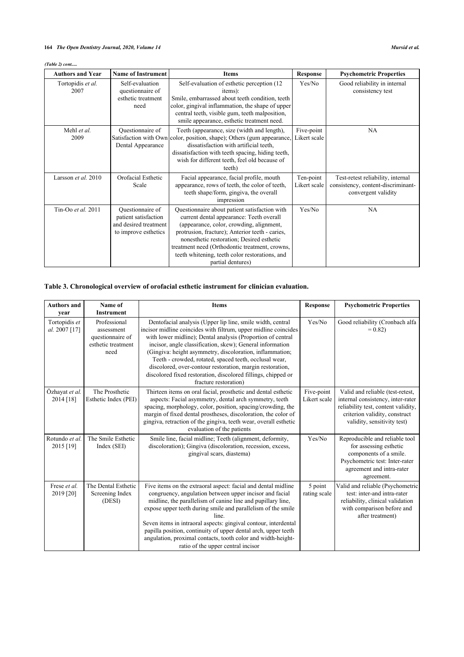# **164** *The Open Dentistry Journal, 2020, Volume 14 Mursid et al.*

*(Table 2) cont.....*

| <b>Authors and Year</b>   | <b>Name of Instrument</b>                                                                 | <b>Items</b>                                                                                                                                                                                                                                                                                                                                                   | <b>Response</b>            | <b>Psychometric Properties</b>                                                                 |
|---------------------------|-------------------------------------------------------------------------------------------|----------------------------------------------------------------------------------------------------------------------------------------------------------------------------------------------------------------------------------------------------------------------------------------------------------------------------------------------------------------|----------------------------|------------------------------------------------------------------------------------------------|
| Tortopidis et al.<br>2007 | Self-evaluation<br>questionnaire of<br>esthetic treatment<br>need                         | Self-evaluation of esthetic perception (12<br>items):<br>Smile, embarrassed about teeth condition, teeth<br>color, gingival inflammation, the shape of upper<br>central teeth, visible gum, teeth malposition,<br>smile appearance, esthetic treatment need.                                                                                                   | Yes/No                     | Good reliability in internal<br>consistency test                                               |
| Mehl et al.<br>2009       | Questionnaire of<br>Dental Appearance                                                     | Teeth (appearance, size (width and length),<br>Satisfaction with Own color, position, shape); Others (gum appearance,<br>dissatisfaction with artificial teeth,<br>dissatisfaction with teeth spacing, hiding teeth,<br>wish for different teeth, feel old because of<br>teeth)                                                                                | Five-point<br>Likert scale | NA                                                                                             |
| Larsson et al. 2010       | Orofacial Esthetic<br>Scale                                                               | Facial appearance, facial profile, mouth<br>appearance, rows of teeth, the color of teeth,<br>teeth shape/form, gingiva, the overall<br>impression                                                                                                                                                                                                             | Ten-point<br>Likert scale  | Test-retest reliability, internal<br>consistency, content-discriminant-<br>convergent validity |
| Tin-Oo et al. 2011        | Questionnaire of<br>patient satisfaction<br>and desired treatment<br>to improve esthetics | Questionnaire about patient satisfaction with<br>current dental appearance: Teeth overall<br>(appearance, color, crowding, alignment,<br>protrusion, fracture); Anterior teeth - caries,<br>nonesthetic restoration; Desired esthetic<br>treatment need (Orthodontic treatment, crowns,<br>teeth whitening, teeth color restorations, and<br>partial dentures) | Yes/No                     | NA                                                                                             |

# <span id="page-3-0"></span>**Table 3. Chronological overview of orofacial esthetic instrument for clinician evaluation.**

<span id="page-3-1"></span>

| <b>Authors and</b><br>year     | Name of<br><b>Instrument</b>                                                 | <b>Items</b>                                                                                                                                                                                                                                                                                                                                                                                                                                                                                                                           | <b>Response</b>            | <b>Psychometric Properties</b>                                                                                                                                               |
|--------------------------------|------------------------------------------------------------------------------|----------------------------------------------------------------------------------------------------------------------------------------------------------------------------------------------------------------------------------------------------------------------------------------------------------------------------------------------------------------------------------------------------------------------------------------------------------------------------------------------------------------------------------------|----------------------------|------------------------------------------------------------------------------------------------------------------------------------------------------------------------------|
| Tortopidis et<br>al. 2007 [17] | Professional<br>assessment<br>questionnaire of<br>esthetic treatment<br>need | Dentofacial analysis (Upper lip line, smile width, central<br>incisor midline coincides with filtrum, upper midline coincides<br>with lower midline); Dental analysis (Proportion of central<br>incisor, angle classification, skew); General information<br>(Gingiva: height asymmetry, discoloration, inflammation;<br>Teeth - crowded, rotated, spaced teeth, occlusal wear,<br>discolored, over-contour restoration, margin restoration,<br>discolored fixed restoration, discolored fillings, chipped or<br>fracture restoration) | Yes/No                     | Good reliability (Cronbach alfa<br>$= 0.82$                                                                                                                                  |
| Özhayat et al.<br>2014 [18]    | The Prosthetic<br>Esthetic Index (PEI)                                       | Thirteen items on oral facial, prosthetic and dental esthetic<br>aspects: Facial asymmetry, dental arch symmetry, teeth<br>spacing, morphology, color, position, spacing/crowding, the<br>margin of fixed dental prostheses, discoloration, the color of<br>gingiva, retraction of the gingiva, teeth wear, overall esthetic<br>evaluation of the patients                                                                                                                                                                             | Five-point<br>Likert scale | Valid and reliable (test-retest,<br>internal consistency, inter-rater<br>reliability test, content validity,<br>criterion validity, construct<br>validity, sensitivity test) |
| Rotundo et al.<br>2015 [19]    | The Smile Esthetic<br>Index (SEI)                                            | Smile line, facial midline; Teeth (alignment, deformity,<br>discoloration); Gingiva (discoloration, recession, excess,<br>gingival scars, diastema)                                                                                                                                                                                                                                                                                                                                                                                    | Yes/No                     | Reproducible and reliable tool<br>for assessing esthetic<br>components of a smile.<br>Psychometric test: Inter-rater<br>agreement and intra-rater<br>agreement.              |
| Frese et al.<br>2019 [20]      | The Dental Esthetic<br>Screening Index<br>(DESI)                             | Five items on the extraoral aspect: facial and dental midline<br>congruency, angulation between upper incisor and facial<br>midline, the parallelism of canine line and pupillary line,<br>expose upper teeth during smile and parallelism of the smile<br>line.<br>Seven items in intraoral aspects: gingival contour, interdental<br>papilla position, continuity of upper dental arch, upper teeth<br>angulation, proximal contacts, tooth color and width-height-<br>ratio of the upper central incisor                            | 5 point<br>rating scale    | Valid and reliable (Psychometric<br>test: inter-and intra-rater<br>reliability, clinical validation<br>with comparison before and<br>after treatment)                        |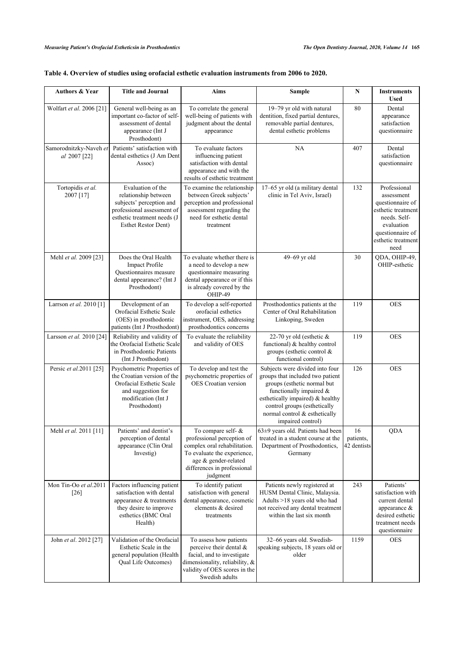| Table 4. Overview of studies using orofacial esthetic evaluation instruments from 2006 to 2020. |  |
|-------------------------------------------------------------------------------------------------|--|
|                                                                                                 |  |

| <b>Authors &amp; Year</b>              | <b>Title and Journal</b>                                                                                                                                         | Aims                                                                                                                                                                               | Sample                                                                                                                                                                                                                                                  | N                              | <b>Instruments</b><br><b>Used</b>                                                                                                                    |
|----------------------------------------|------------------------------------------------------------------------------------------------------------------------------------------------------------------|------------------------------------------------------------------------------------------------------------------------------------------------------------------------------------|---------------------------------------------------------------------------------------------------------------------------------------------------------------------------------------------------------------------------------------------------------|--------------------------------|------------------------------------------------------------------------------------------------------------------------------------------------------|
| Wolfart et al. 2006 [21]               | General well-being as an<br>important co-factor of self-<br>assessment of dental<br>appearance (Int J<br>Prosthodont)                                            | To correlate the general<br>well-being of patients with<br>judgment about the dental<br>appearance                                                                                 | 19-79 yr old with natural<br>dentition, fixed partial dentures,<br>removable partial dentures,<br>dental esthetic problems                                                                                                                              | 80                             | Dental<br>appearance<br>satisfaction<br>questionnaire                                                                                                |
| Samorodnitzky-Naveh et<br>al 2007 [22] | Patients' satisfaction with<br>dental esthetics (J Am Dent<br>Assoc)                                                                                             | To evaluate factors<br>influencing patient<br>satisfaction with dental<br>appearance and with the<br>results of esthetic treatment                                                 | <b>NA</b>                                                                                                                                                                                                                                               | 407                            | Dental<br>satisfaction<br>questionnaire                                                                                                              |
| Tortopidis et al.<br>2007 [17]         | Evaluation of the<br>relationship between<br>subjects' perception and<br>professional assessment of<br>esthetic treatment needs (J<br><b>Esthet Restor Dent)</b> | To examine the relationship<br>between Greek subjects'<br>perception and professional<br>assessment regarding the<br>need for esthetic dental<br>treatment                         | 17-65 yr old (a military dental<br>clinic in Tel Aviv, Israel)                                                                                                                                                                                          | 132                            | Professional<br>assessment<br>questionnaire of<br>esthetic treatment<br>needs. Self-<br>evaluation<br>questionnaire of<br>esthetic treatment<br>need |
| Mehl et al. 2009 [23]                  | Does the Oral Health<br><b>Impact Profile</b><br>Questionnaires measure<br>dental appearance? (Int J<br>Prosthodont)                                             | To evaluate whether there is<br>a need to develop a new<br>questionnaire measuring<br>dental appearance or if this<br>is already covered by the<br>OHIP-49                         | 49-69 yr old                                                                                                                                                                                                                                            | 30                             | QDA, OHIP-49,<br>OHIP-esthetic                                                                                                                       |
| Larrson et al. 2010 [1]                | Development of an<br>Orofacial Esthetic Scale<br>(OES) in prosthodontic<br>patients (Int J Prosthodont)                                                          | To develop a self-reported<br>orofacial esthetics<br>instrument, OES, addressing<br>prosthodontics concerns                                                                        | Prosthodontics patients at the<br>Center of Oral Rehabilitation<br>Linkoping, Sweden                                                                                                                                                                    | 119                            | <b>OES</b>                                                                                                                                           |
| Larsson et al. 2010 [24]               | Reliability and validity of<br>the Orofacial Esthetic Scale<br>in Prosthodontic Patients<br>(Int J Prosthodont)                                                  | To evaluate the reliability<br>and validity of OES                                                                                                                                 | 22-70 yr old (esthetic $&$<br>functional) & healthy control<br>groups (esthetic control $\&$<br>functional control)                                                                                                                                     | 119                            | <b>OES</b>                                                                                                                                           |
| Persic et al.2011 [25]                 | Psychometric Properties of<br>the Croatian version of the<br>Orofacial Esthetic Scale<br>and suggestion for<br>modification (Int J<br>Prosthodont)               | To develop and test the<br>psychometric properties of<br><b>OES</b> Croatian version                                                                                               | Subjects were divided into four<br>groups that included two patient<br>groups (esthetic normal but<br>functionally impaired &<br>esthetically impaired) & healthy<br>control groups (esthetically<br>normal control & esthetically<br>impaired control) | 126                            | <b>OES</b>                                                                                                                                           |
| Mehl et al. 2011 [11]                  | Patients' and dentist's<br>perception of dental<br>appearance (Clin Oral<br>Investig)                                                                            | To compare self- &<br>professional perception of<br>complex oral rehabilitation.<br>To evaluate the experience,<br>age & gender-related<br>differences in professional<br>judgment | 63±9 years old. Patients had been<br>treated in a student course at the<br>Department of Prosthodontics,<br>Germany                                                                                                                                     | 16<br>patients,<br>42 dentists | <b>QDA</b>                                                                                                                                           |
| Mon Tin-Oo et al.2011<br>[26]          | Factors influencing patient<br>satisfaction with dental<br>appearance $\&$ treatments<br>they desire to improve<br>esthetics (BMC Oral<br>Health)                | To identify patient<br>satisfaction with general<br>dental appearance, cosmetic<br>elements & desired<br>treatments                                                                | Patients newly registered at<br>HUSM Dental Clinic, Malaysia.<br>Adults >18 years old who had<br>not received any dental treatment<br>within the last six month                                                                                         | 243                            | Patients'<br>satisfaction with<br>current dental<br>appearance $\&$<br>desired esthetic<br>treatment needs<br>questionnaire                          |
| John et al. 2012 [27]                  | Validation of the Orofacial<br>Esthetic Scale in the<br>general population (Health<br>Qual Life Outcomes)                                                        | To assess how patients<br>perceive their dental &<br>facial, and to investigate<br>dimensionality, reliability, &<br>validity of OES scores in the<br>Swedish adults               | 32-66 years old. Swedish-<br>speaking subjects, 18 years old or<br>older                                                                                                                                                                                | 1159                           | <b>OES</b>                                                                                                                                           |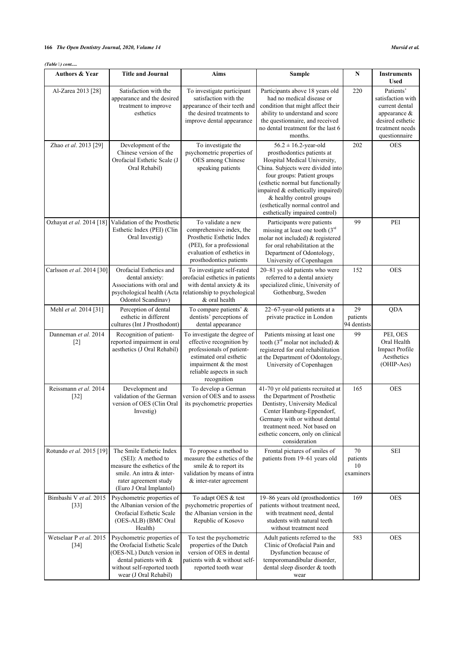# **166** *The Open Dentistry Journal, 2020, Volume 14 Mursid et al.*

| <b>Authors &amp; Year</b>         | <b>Title and Journal</b>                                                                                                                                                  | Aims                                                                                                                                                                                 | Sample                                                                                                                                                                                                                                                                                                                                  | N                                 | <b>Instruments</b><br><b>Used</b>                                                                                           |
|-----------------------------------|---------------------------------------------------------------------------------------------------------------------------------------------------------------------------|--------------------------------------------------------------------------------------------------------------------------------------------------------------------------------------|-----------------------------------------------------------------------------------------------------------------------------------------------------------------------------------------------------------------------------------------------------------------------------------------------------------------------------------------|-----------------------------------|-----------------------------------------------------------------------------------------------------------------------------|
| Al-Zarea 2013 [28]                | Satisfaction with the<br>appearance and the desired<br>treatment to improve<br>esthetics                                                                                  | To investigate participant<br>satisfaction with the<br>appearance of their teeth and<br>the desired treatments to<br>improve dental appearance                                       | Participants above 18 years old<br>had no medical disease or<br>condition that might affect their<br>ability to understand and score<br>the questionnaire, and received<br>no dental treatment for the last 6<br>months.                                                                                                                | 220                               | Patients'<br>satisfaction with<br>current dental<br>appearance $\&$<br>desired esthetic<br>treatment needs<br>questionnaire |
| Zhao et al. 2013 [29]             | Development of the<br>Chinese version of the<br>Orofacial Esthetic Scale (J<br>Oral Rehabil)                                                                              | To investigate the<br>psychometric properties of<br>OES among Chinese<br>speaking patients                                                                                           | $56.2 \pm 16.2$ -year-old<br>prosthodontics patients at<br>Hospital Medical University,<br>China. Subjects were divided into<br>four groups: Patient groups<br>(esthetic normal but functionally<br>impaired & esthetically impaired)<br>& healthy control groups<br>(esthetically normal control and<br>esthetically impaired control) | 202                               | <b>OES</b>                                                                                                                  |
| Ozhayat et al. 2014 [18]          | Validation of the Prosthetic<br>Esthetic Index (PEI) (Clin<br>Oral Investig)                                                                                              | To validate a new<br>comprehensive index, the<br>Prosthetic Esthetic Index<br>(PEI), for a professional<br>evaluation of esthetics in<br>prosthodontics patients                     | Participants were patients<br>missing at least one tooth $(3rd$<br>molar not included) & registered<br>for oral rehabilitation at the<br>Department of Odontology,<br>University of Copenhagen                                                                                                                                          | 99                                | PEI                                                                                                                         |
| Carlsson et al. 2014 [30]         | Orofacial Esthetics and<br>dental anxiety:<br>Associations with oral and<br>psychological health (Acta<br>Odontol Scandinav)                                              | To investigate self-rated<br>orofacial esthetics in patients<br>with dental anxiety & its<br>relationship to psychological<br>& oral health                                          | 20-81 ys old patients who were<br>referred to a dental anxiety<br>specialized clinic, University of<br>Gothenburg, Sweden                                                                                                                                                                                                               | 152                               | <b>OES</b>                                                                                                                  |
| Mehl et al. 2014 [31]             | Perception of dental<br>esthetic in different<br>cultures (Int J Prosthodont)                                                                                             | To compare patients' &<br>dentists' perceptions of<br>dental appearance                                                                                                              | 22-67-year-old patients at a<br>private practice in London                                                                                                                                                                                                                                                                              | 29<br>patients<br>94 dentists     | QDA                                                                                                                         |
| Danneman et al. 2014<br>$[2]$     | Recognition of patient-<br>reported impairment in oral<br>aesthetics (J Oral Rehabil)                                                                                     | To investigate the degree of<br>effective recognition by<br>professionals of patient-<br>estimated oral esthetic<br>impairment & the most<br>reliable aspects in such<br>recognition | Patients missing at least one<br>tooth ( $3^{rd}$ molar not included) &<br>registered for oral rehabilitation<br>at the Department of Odontology,<br>University of Copenhagen                                                                                                                                                           | 99                                | PEI, OES<br>Oral Health<br>Impact Profile<br>Aesthetics<br>(OHIP-Aes)                                                       |
| Reissmann et al. 2014<br>$[32]$   | Development and<br>validation of the German<br>version of OES (Clin Oral<br>Investig)                                                                                     | To develop a German<br>version of OES and to assess<br>its psychometric properties                                                                                                   | 41-70 yr old patients recruited at<br>the Department of Prosthetic<br>Dentistry, University Medical<br>Center Hamburg-Eppendorf,<br>Germany with or without dental<br>treatment need. Not based on<br>esthetic concern, only on clinical<br>consideration                                                                               | 165                               | <b>OES</b>                                                                                                                  |
| Rotundo et al. 2015 [19]          | The Smile Esthetic Index<br>(SEI): A method to<br>measure the esthetics of the<br>smile. An intra & inter-<br>rater agreement study<br>(Euro J Oral Implantol)            | To propose a method to<br>measure the esthetics of the<br>smile & to report its<br>validation by means of intra<br>& inter-rater agreement                                           | Frontal pictures of smiles of<br>patients from 19-61 years old                                                                                                                                                                                                                                                                          | 70<br>patients<br>10<br>examiners | <b>SEI</b>                                                                                                                  |
| Bimbashi V et al. 2015<br>$[33]$  | Psychometric properties of<br>the Albanian version of the<br>Orofacial Esthetic Scale<br>(OES-ALB) (BMC Oral<br>Health)                                                   | To adapt OES & test<br>psychometric properties of<br>the Albanian version in the<br>Republic of Kosovo                                                                               | 19–86 years old (prosthodontics<br>patients without treatment need,<br>with treatment need, dental<br>students with natural teeth<br>without treatment need                                                                                                                                                                             | 169                               | <b>OES</b>                                                                                                                  |
| Wetselaar P et al. 2015<br>$[34]$ | Psychometric properties of<br>the Orofacial Esthetic Scale<br>(OES-NL) Dutch version in<br>dental patients with &<br>without self-reported tooth<br>wear (J Oral Rehabil) | To test the psychometric<br>properties of the Dutch<br>version of OES in dental<br>patients with & without self-<br>reported tooth wear                                              | Adult patients referred to the<br>Clinic of Orofacial Pain and<br>Dysfunction because of<br>temporomandibular disorder,<br>dental sleep disorder & tooth<br>wear                                                                                                                                                                        | 583                               | <b>OES</b>                                                                                                                  |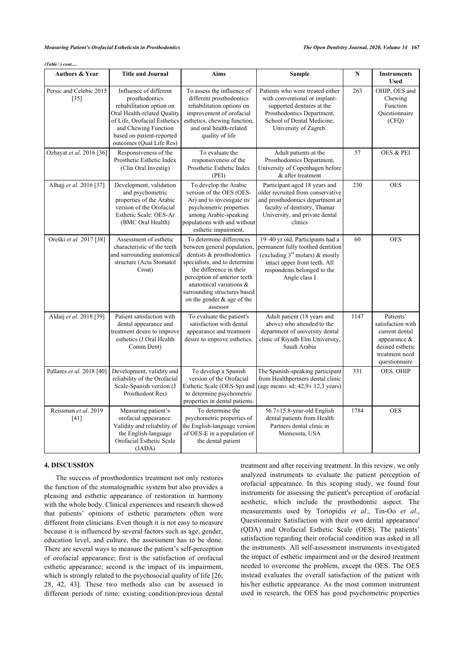|  | (Table 6) cont |
|--|----------------|
|  |                |

| <b>Authors &amp; Year</b>         | <b>Title and Journal</b>                                                                                                                                                                                             | Aims                                                                                                                                                                                                                                                                                  | Sample                                                                                                                                                                                         | N    | <b>Instruments</b><br><b>Used</b>                                                                                          |
|-----------------------------------|----------------------------------------------------------------------------------------------------------------------------------------------------------------------------------------------------------------------|---------------------------------------------------------------------------------------------------------------------------------------------------------------------------------------------------------------------------------------------------------------------------------------|------------------------------------------------------------------------------------------------------------------------------------------------------------------------------------------------|------|----------------------------------------------------------------------------------------------------------------------------|
| Persic and Celebic 2015<br>$[35]$ | Influence of different<br>prosthodontics<br>rehabilitation option on<br>Oral Health-related Quality<br>of Life, Orofacial Esthetics<br>and Chewing Function<br>based on patient-reported<br>outcomes (Qual Life Res) | To assess the influence of<br>different prosthodontics<br>rehabilitation options on<br>improvement of orofacial<br>esthetics, chewing function,<br>and oral health-related<br>quality of life                                                                                         | Patients who were treated either<br>with conventional or implant-<br>supported dentures at the<br>Prosthodontics Department,<br>School of Dental Medicine,<br>University of Zagreb.            | 263  | OHIP, OES and<br>Chewing<br>Function<br>Questionnaire<br>(CFQ)                                                             |
| Ozhayat et al. 2016 [36]          | Responsiveness of the<br>Prosthetic Esthetic Index<br>(Clin Oral Investig)                                                                                                                                           | To evaluate the<br>responsiveness of the<br>Prosthetic Esthetic Index<br>(PEI)                                                                                                                                                                                                        | Adult patients at the<br>Prosthodontics Department,<br>University of Copenhagen before<br>& after treatment                                                                                    | 57   | OES & PEI                                                                                                                  |
| Alhajj et al. 2016 [37]           | Development, validation<br>and psychometric<br>properties of the Arabic<br>version of the Orofacial<br>Esthetic Scale: OES-Ar<br>(BMC Oral Health)                                                                   | To develop the Arabic<br>version of the OES (OES-<br>Ar) and to investigate its<br>psychometric properties<br>among Arabic-speaking<br>populations with and without<br>esthetic impairment.                                                                                           | Participant aged 18 years and<br>older recruited from conservative<br>and prosthodontics department at<br>faculty of dentistry, Thamar<br>University, and private dental<br>clinics            | 230  | <b>OES</b>                                                                                                                 |
| Oreški et al. 2017 [38]           | Assessment of esthetic<br>characteristic of the teeth<br>and surrounding anatomical<br>structure (Acta Stomatol<br>Croat)                                                                                            | To determine differences<br>between general population,<br>dentists & prosthodontics<br>specialists, and to determine<br>the difference in their<br>perception of anterior teeth<br>anatomical variations &<br>surrounding structures based<br>on the gender & age of the<br>assessor | 19-40 yr old. Participants had a<br>permanent fully toothed dentition<br>(excluding $3^{rd}$ molars) & mostly<br>intact upper front teeth. All<br>respondents belonged to the<br>Angle class I | 60   | <b>OES</b>                                                                                                                 |
| Aldaij et al. 2018 [39]           | Patient satisfaction with<br>dental appearance and<br>treatment desire to improve<br>esthetics (J Oral Health<br>Comm Dent)                                                                                          | To evaluate the patient's<br>satisfaction with dental<br>appearance and treatment<br>desire to improve esthetics.                                                                                                                                                                     | Adult patient (18 years and<br>above) who attended to the<br>department of university dental<br>clinic of Riyadh Elm University,<br>Saudi Arabia                                               | 1147 | Patients'<br>satisfaction with<br>current dental<br>appearance $\&$<br>desired esthetic<br>treatment need<br>questionnaire |
| Pallares et al. 2018 [40]         | Development, validity and<br>reliability of the Orofacial<br>Scale-Spanish version (J<br>Prosthodont Res)                                                                                                            | To develop a Spanish<br>version of the Orofacial<br>Esthetic Scale (OES-Sp) and<br>to determine psychometric<br>properties in dental patients.                                                                                                                                        | The Spanish-speaking participant<br>from Healthpertners dental clinic<br>(age mean $\pm$ sd: 42,9 $\pm$ 12,3 years)                                                                            | 331  | OES, OHIP                                                                                                                  |
| Reissman et al. 2019<br>$[41]$    | Measuring patient's<br>orofacial appearance.<br>Validity and reliability of<br>the English-language<br>Orofacial Esthetic Scale<br>(JADA)                                                                            | To determine the<br>psychometric properties of<br>the English-language version<br>of OES-E in a population of<br>the dental patient                                                                                                                                                   | 56.7±15.8-year-old English<br>dental patients from Health<br>Partners dental clinic in<br>Minnesota, USA                                                                                       | 1784 | <b>OES</b>                                                                                                                 |

### **4. DISCUSSION**

The success of prosthodontics treatment not only restores the function of the stomatognathic system but also provides a pleasing and esthetic appearance of restoration in harmony with the whole body. Clinical experiences and research showed that patients' opinions of esthetic parameters often were different from clinicians. Even though it is not easy to measure because it is influenced by several factors such as age, gender, education level, and culture, the assessment has to be done. There are several ways to measure the patient's self-perception of orofacial appearance; first is the satisfaction of orofacial esthetic appearance; second is the impact of its impairment, which is strongly related to the psychosocial quality of life [\[26](#page-8-24), [28,](#page-8-26) [42](#page-9-6), [43](#page-9-1)]. These two methods also can be assessed in different periods of time; existing condition/previous dental treatment and after receiving treatment. In this review, we only analyzed instruments to evaluate the patient perception of orofacial appearance. In this scoping study, we found four instruments for assessing the patient's perception of orofacial aesthetic, which include the prosthodontic aspect. The measurements used by Tortopidis *et al*., Tin-Oo *et al*., Questionnaire Satisfaction with their own dental appearance' (QDA) and Orofacial Esthetic Scale (OES). The patients' satisfaction regarding their orofacial condition was asked in all the instruments. All self-assessment instruments investigated the impact of esthetic impairment and or the desired treatment needed to overcome the problem, except the OES. The OES instead evaluates the overall satisfaction of the patient with his/her esthetic appearance. As the most common instrument used in research, the OES has good psychometric properties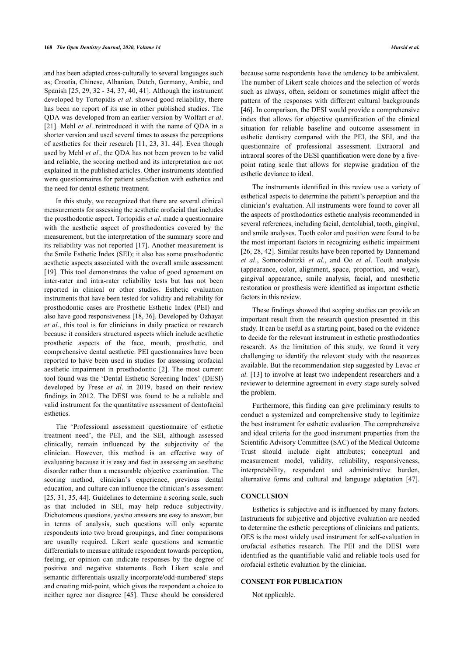and has been adapted cross-culturally to several languages such as; Croatia, Chinese, Albanian, Dutch, Germany, Arabic, and Spanish [\[25,](#page-8-23) [29,](#page-8-27) [32](#page-8-30) - [34,](#page-8-32) [37,](#page-9-1) [40](#page-9-4), [41](#page-9-5)]. Although the instrument developed by Tortopidis *et al*. showed good reliability, there has been no report of its use in other published studies. The QDA was developed from an earlier version by Wolfart *et al*. [[21\]](#page-8-19). Mehl *et al*. reintroduced it with the name of QDA in a shorter version and used several times to assess the perceptions of aesthetics for their research [\[11,](#page-8-10) [23](#page-8-21), [31,](#page-8-29) [44](#page-9-2)]. Even though used by Mehl *et al*., the QDA has not been proven to be valid and reliable, the scoring method and its interpretation are not explained in the published articles. Other instruments identified were questionnaires for patient satisfaction with esthetics and the need for dental esthetic treatment.

In this study, we recognized that there are several clinical measurements for assessing the aesthetic orofacial that includes the prosthodontic aspect. Tortopidis *et al*. made a questionnaire with the aesthetic aspect of prosthodontics covered by the measurement, but the interpretation of the summary score and its reliability was not reported [[17](#page-8-15)]. Another measurement is the Smile Esthetic Index (SEI); it also has some prosthodontic aesthetic aspects associated with the overall smile assessment [[19\]](#page-8-17). This tool demonstrates the value of good agreement on inter-rater and intra-rater reliability tests but has not been reported in clinical or other studies. Esthetic evaluation instruments that have been tested for validity and reliability for prosthodontic cases are Prosthetic Esthetic Index (PEI) and also have good responsiveness [[18](#page-8-16), [36\]](#page-9-0). Developed by Ozhayat *et al*., this tool is for clinicians in daily practice or research because it considers structured aspects which include aesthetic prosthetic aspects of the face, mouth, prosthetic, and comprehensive dental aesthetic. PEI questionnaires have been reported to have been used in studies for assessing orofacial aesthetic impairment in prosthodontic [\[2\]](#page-8-1). The most current tool found was the 'Dental Esthetic Screening Index' (DESI) developed by Frese *et al*. in 2019, based on their review findings in 2012. The DESI was found to be a reliable and valid instrument for the quantitative assessment of dentofacial esthetics.

The 'Professional assessment questionnaire of esthetic treatment need', the PEI, and the SEI, although assessed clinically, remain influenced by the subjectivity of the clinician. However, this method is an effective way of evaluating because it is easy and fast in assessing an aesthetic disorder rather than a measurable objective examination. The scoring method, clinician's experience, previous dental education, and culture can influence the clinician's assessment [[25,](#page-8-23) [31,](#page-8-29) [35,](#page-8-33) [44\]](#page-9-2). Guidelines to determine a scoring scale, such as that included in SEI, may help reduce subjectivity. Dichotomous questions, yes/no answers are easy to answer, but in terms of analysis, such questions will only separate respondents into two broad groupings, and finer comparisons are usually required. Likert scale questions and semantic differentials to measure attitude respondent towards perception, feeling, or opinion can indicate responses by the degree of positive and negative statements. Both Likert scale and semantic differentials usually incorporate'odd-numbered' steps and creating mid-point, which gives the respondent a choice to neither agree nor disagree[[45\]](#page-9-7). These should be considered because some respondents have the tendency to be ambivalent. The number of Likert scale choices and the selection of words such as always, often, seldom or sometimes might affect the pattern of the responses with different cultural backgrounds [[46](#page-9-8)]. In comparison, the DESI would provide a comprehensive index that allows for objective quantification of the clinical situation for reliable baseline and outcome assessment in esthetic dentistry compared with the PEI, the SEI, and the questionnaire of professional assessment. Extraoral and intraoral scores of the DESI quantification were done by a fivepoint rating scale that allows for stepwise gradation of the esthetic deviance to ideal.

The instruments identified in this review use a variety of esthetical aspects to determine the patient's perception and the clinician's evaluation. All instruments were found to cover all the aspects of prosthodontics esthetic analysis recommended in several references, including facial, dentolabial, tooth, gingival, and smile analyses. Tooth color and position were found to be the most important factors in recognizing esthetic impairment [[26](#page-8-24), [28,](#page-8-26) [42\]](#page-9-6). Similar results have been reported by Dannemand *et al*., Somorodnitzki *et al*., and Oo *et al*. Tooth analysis (appearance, color, alignment, space, proportion, and wear), gingival appearance, smile analysis, facial, and unesthetic restoration or prosthesis were identified as important esthetic factors in this review.

These findings showed that scoping studies can provide an important result from the research question presented in this study. It can be useful as a starting point, based on the evidence to decide for the relevant instrument in esthetic prosthodontics research. As the limitation of this study, we found it very challenging to identify the relevant study with the resources available. But the recommendation step suggested by Levac *et al.* [\[13\]](#page-8-34) to involve at least two independent researchers and a reviewer to determine agreement in every stage surely solved the problem.

Furthermore, this finding can give preliminary results to conduct a systemized and comprehensive study to legitimize the best instrument for esthetic evaluation. The comprehensive and ideal criteria for the good instrument properties from the Scientific Advisory Committee (SAC) of the Medical Outcome Trust should include eight attributes; conceptual and measurement model, validity, reliability, responsiveness, interpretability, respondent and administrative burden, alternative forms and cultural and language adaptation [\[47](#page-9-9)].

### **CONCLUSION**

Esthetics is subjective and is influenced by many factors. Instruments for subjective and objective evaluation are needed to determine the esthetic perceptions of clinicians and patients. OES is the most widely used instrument for self-evaluation in orofacial esthetics research. The PEI and the DESI were identified as the quantifiable valid and reliable tools used for orofacial esthetic evaluation by the clinician.

### **CONSENT FOR PUBLICATION**

Not applicable.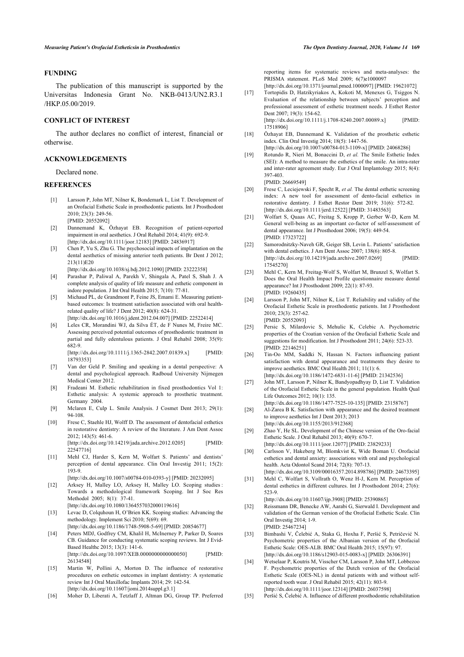### **FUNDING**

<span id="page-8-15"></span>The publication of this manuscript is supported by the Universitas Indonesia Grant No. NKB-0413/UN2.R3.1 /HKP.05.00/2019.

### **CONFLICT OF INTEREST**

<span id="page-8-16"></span>The author declares no conflict of interest, financial or otherwise.

### <span id="page-8-17"></span>**ACKNOWLEDGEMENTS**

Declared none.

### <span id="page-8-18"></span><span id="page-8-0"></span>**REFERENCES**

- [1] Larsson P, John MT, Nilner K, Bondemark L, List T. Development of an Orofacial Esthetic Scale in prosthodontic patients. Int J Prosthodont 2010; 23(3): 249-56. [PMID: [20552092](http://www.ncbi.nlm.nih.gov/pubmed/20552092)]
- <span id="page-8-19"></span><span id="page-8-1"></span>[2] Dannemand K, Özhayat EB. Recognition of patient-reported impairment in oral aesthetics. J Oral Rehabil 2014; 41(9): 692-9. [\[http://dx.doi.org/10.1111/joor.12183\]](http://dx.doi.org/10.1111/joor.12183) [PMID: [24836917](http://www.ncbi.nlm.nih.gov/pubmed/24836917)]
- <span id="page-8-20"></span><span id="page-8-2"></span>[3] Chen P, Yu S, Zhu G. The psychosocial impacts of implantation on the dental aesthetics of missing anterior teeth patients. Br Dent J 2012; 213(11)E20
- <span id="page-8-21"></span><span id="page-8-3"></span>[\[http://dx.doi.org/10.1038/sj.bdj.2012.1090](http://dx.doi.org/10.1038/sj.bdj.2012.1090)] [PMID: [23222358\]](http://www.ncbi.nlm.nih.gov/pubmed/23222358) [4] Parashar P, Paliwal A, Parekh V, Shingala A, Patel S, Shah J. A
- complete analysis of quality of life measure and esthetic component in indore population. J Int Oral Health 2015; 7(10): 77-81.
- <span id="page-8-22"></span><span id="page-8-4"></span>[5] Michaud PL, de Grandmont P, Feine JS, Emami E. Measuring patientbased outcomes: Is treatment satisfaction associated with oral healthrelated quality of life? J Dent 2012; 40(8): 624-31. [\[http://dx.doi.org/10.1016/j.jdent.2012.04.007\]](http://dx.doi.org/10.1016/j.jdent.2012.04.007) [PMID: [22522414](http://www.ncbi.nlm.nih.gov/pubmed/22522414)]
- <span id="page-8-23"></span><span id="page-8-5"></span>[6] Leles CR, Morandini WJ, da Silva ÉT, de F Nunes M, Freire MC. Assessing perceived potential outcomes of prosthodontic treatment in partial and fully edentulous patients. J Oral Rehabil 2008; 35(9): 682-9.

[\[http://dx.doi.org/10.1111/j.1365-2842.2007.01839.x\]](http://dx.doi.org/10.1111/j.1365-2842.2007.01839.x) [PMID: [18793353\]](http://www.ncbi.nlm.nih.gov/pubmed/18793353)

- <span id="page-8-24"></span><span id="page-8-6"></span>[7] Van der Geld P. Smiling and speaking in a dental perspective: A dental and psychological approach. Radboud University Nijmegen Medical Center 2012.
- <span id="page-8-25"></span><span id="page-8-7"></span>[8] Fradeani M. Esthetic rehabilitation in fixed prosthodontics Vol 1: Esthetic analysis: A systemic approach to prosthetic treatment. Germany 2004.
- <span id="page-8-26"></span><span id="page-8-8"></span>[9] Mclaren E, Culp L. Smile Analysis. J Cosmet Dent 2013; 29(1): 94-108.
- <span id="page-8-27"></span><span id="page-8-9"></span>[10] Frese C, Staehle HJ, Wolff D. The assessment of dentofacial esthetics in restorative dentistry: A review of the literature. J Am Dent Assoc 2012; 143(5): 461-6. [\[http://dx.doi.org/10.14219/jada.archive.2012.0205](http://dx.doi.org/10.14219/jada.archive.2012.0205)] [PMID: [22547716\]](http://www.ncbi.nlm.nih.gov/pubmed/22547716)
- <span id="page-8-28"></span><span id="page-8-10"></span>[11] Mehl CJ, Harder S, Kern M, Wolfart S, Patients' and dentists' perception of dental appearance. Clin Oral Investig 2011; 15(2): 193-9.
- <span id="page-8-29"></span><span id="page-8-11"></span>[\[http://dx.doi.org/10.1007/s00784-010-0393-y](http://dx.doi.org/10.1007/s00784-010-0393-y)] [PMID: [20232095\]](http://www.ncbi.nlm.nih.gov/pubmed/20232095) [12] Arksey H, Malley LO, Arksey H, Malley LO. Scoping studies : Towards a methodological framework Scoping. Int J Soc Res
- Methodol 2005; 8(1): 37-41. [\[http://dx.doi.org/10.1080/1364557032000119616\]](http://dx.doi.org/10.1080/1364557032000119616)
- <span id="page-8-34"></span><span id="page-8-30"></span>[13] Levac D, Colquhoun H, O'Brien KK. Scoping studies: Advancing the methodology. Implement Sci 2010; 5(69): 69. [\[http://dx.doi.org/10.1186/1748-5908-5-69\]](http://dx.doi.org/10.1186/1748-5908-5-69) [PMID: [20854677](http://www.ncbi.nlm.nih.gov/pubmed/20854677)]
- <span id="page-8-31"></span><span id="page-8-12"></span>[14] Peters MDJ, Godfrey CM, Khalil H, McInerney P, Parker D, Soares CB. Guidance for conducting systematic scoping reviews. Int J Evid-Based Healthc 2015; 13(3): 141-6. [\[http://dx.doi.org/10.1097/XEB.0000000000000050\]](http://dx.doi.org/10.1097/XEB.0000000000000050) [PMID: [26134548\]](http://www.ncbi.nlm.nih.gov/pubmed/26134548)
- <span id="page-8-32"></span><span id="page-8-13"></span>[15] Martin W, Pollini A, Morton D. The influence of restorative procedures on esthetic outcomes in implant dentistry: A systematic review Int J Oral Maxillofac Implants 2014; 29: 142-54. [\[http://dx.doi.org/10.11607/jomi.2014suppl.g3.1](http://dx.doi.org/10.11607/jomi.2014suppl.g3.1)]
- <span id="page-8-33"></span><span id="page-8-14"></span>[16] Moher D, Liberati A, Tetzlaff J, Altman DG, Group TP. Preferred

reporting items for systematic reviews and meta-analyses: the PRISMA statement. PLoS Med 2009; 6(7)e1000097

- [\[http://dx.doi.org/10.1371/journal.pmed.1000097\]](http://dx.doi.org/10.1371/journal.pmed.1000097) [PMID: [19621072](http://www.ncbi.nlm.nih.gov/pubmed/19621072)] [17] Tortopidis D, Hatzikyriakos A, Kokoti M, Menexes G, Tsiggos N. Evaluation of the relationship between subjects' perception and
- professional assessment of esthetic treatment needs. J Esthet Restor Dent 2007; 19(3): 154-62. [\[http://dx.doi.org/10.1111/j.1708-8240.2007.00089.x\]](http://dx.doi.org/10.1111/j.1708-8240.2007.00089.x) [PMID:

[17518906\]](http://www.ncbi.nlm.nih.gov/pubmed/17518906)

- [18] Özhavat EB, Dannemand K. Validation of the prosthetic esthetic index. Clin Oral Investig 2014; 18(5): 1447-56. [\[http://dx.doi.org/10.1007/s00784-013-1109-x\]](http://dx.doi.org/10.1007/s00784-013-1109-x) [PMID: [24068286](http://www.ncbi.nlm.nih.gov/pubmed/24068286)]
- [19] Rotundo R, Nieri M, Bonaccini D, *et al.* The Smile Esthetic Index (SEI): A method to measure the esthetics of the smile. An intra-rater and inter-rater agreement study. Eur J Oral Implantology 2015; 8(4): 397-403.

[PMID: [26669549\]](http://www.ncbi.nlm.nih.gov/pubmed/26669549)

- [20] Frese C, Leciejewski F, Specht R, *et al.* The dental esthetic screening index: A new tool for assessment of dento-facial esthetics in restorative dentistry. J Esthet Restor Dent 2019; 31(6): 572-82. [\[http://dx.doi.org/10.1111/jerd.12522\]](http://dx.doi.org/10.1111/jerd.12522) [PMID: [31483563](http://www.ncbi.nlm.nih.gov/pubmed/31483563)]
- [21] Wolfart S, Quaas AC, Freitag S, Kropp P, Gerber W-D, Kern M. General well-being as an important co-factor of self-assessment of dental appearance. Int J Prosthodont 2006; 19(5): 449-54. [PMID: [17323722\]](http://www.ncbi.nlm.nih.gov/pubmed/17323722)
- [22] Samorodnitzky-Naveh GR, Geiger SB, Levin L. Patients' satisfaction with dental esthetics. J Am Dent Assoc 2007; 138(6): 805-8. [\[http://dx.doi.org/10.14219/jada.archive.2007.0269](http://dx.doi.org/10.14219/jada.archive.2007.0269)] [PMID: [17545270\]](http://www.ncbi.nlm.nih.gov/pubmed/17545270)
- [23] Mehl C, Kern M, Freitag-Wolf S, Wolfart M, Brunzel S, Wolfart S. Does the Oral Health Impact Profile questionnaire measure dental appearance? Int J Prosthodont 2009; 22(1): 87-93. [PMID: [19260435\]](http://www.ncbi.nlm.nih.gov/pubmed/19260435)
- [24] Larsson P, John MT, Nilner K, List T. Reliability and validity of the Orofacial Esthetic Scale in prosthodontic patients. Int J Prosthodont 2010; 23(3): 257-62. [PMID: [20552093\]](http://www.ncbi.nlm.nih.gov/pubmed/20552093)
- [25] Persic S, Milardovic S, Mehulic K, Celebic A. Psychometric properties of the Croatian version of the Orofacial Esthetic Scale and suggestions for modification. Int J Prosthodont 2011; 24(6): 523-33. [PMID: [22146251\]](http://www.ncbi.nlm.nih.gov/pubmed/22146251)
- [26] Tin-Oo MM, Saddki N, Hassan N. Factors influencing patient satisfaction with dental appearance and treatments they desire to improve aesthetics. BMC Oral Health 2011; 11(1): 6. [\[http://dx.doi.org/10.1186/1472-6831-11-6\]](http://dx.doi.org/10.1186/1472-6831-11-6) [PMID: [21342536\]](http://www.ncbi.nlm.nih.gov/pubmed/21342536)
- [27] John MT, Larsson P, Nilner K, Bandyopadhyay D, List T. Validation of the Orofacial Esthetic Scale in the general population. Health Qual Life Outcomes 2012; 10(1): 135.
- [\[http://dx.doi.org/10.1186/1477-7525-10-135\]](http://dx.doi.org/10.1186/1477-7525-10-135) [PMID: [23158767\]](http://www.ncbi.nlm.nih.gov/pubmed/23158767) [28] Al-Zarea B K. Satisfaction with appearance and the desired treatment to improve aesthetics Int J Dent 2013; 2013
- [\[http://dx.doi.org/10.1155/2013/912368](http://dx.doi.org/10.1155/2013/912368)] [29] Zhao Y, He SL. Development of the Chinese version of the Oro-facial Esthetic Scale. J Oral Rehabil 2013; 40(9): 670-7.

[\[http://dx.doi.org/10.1111/joor.12077\]](http://dx.doi.org/10.1111/joor.12077) [PMID: [23829233\]](http://www.ncbi.nlm.nih.gov/pubmed/23829233)

- [30] Carlsson V, Hakeberg M, Blomkvist K, Wide Boman U. Orofacial esthetics and dental anxiety: associations with oral and psychological health. Acta Odontol Scand 2014; 72(8): 707-13.
- [\[http://dx.doi.org/10.3109/00016357.2014.898786\]](http://dx.doi.org/10.3109/00016357.2014.898786) [PMID: [24673395\]](http://www.ncbi.nlm.nih.gov/pubmed/24673395) [31] Mehl C, Wolfart S, Vollrath O, Wenz H-J, Kern M. Perception of dental esthetics in different cultures. Int J Prosthodont 2014; 27(6): 523-9.

[\[http://dx.doi.org/10.11607/ijp.3908](http://dx.doi.org/10.11607/ijp.3908)] [PMID: [25390865\]](http://www.ncbi.nlm.nih.gov/pubmed/25390865)

- [32] Reissmann DR, Benecke AW, Aarabi G, Sierwald I. Development and validation of the German version of the Orofacial Esthetic Scale. Clin Oral Investig 2014; 1-9. [PMID: [25467234\]](http://www.ncbi.nlm.nih.gov/pubmed/25467234)
- [33] Bimbashi V, Čelebić A, Staka G, Hoxha F, Peršić S, Petričević N. Psychometric properties of the Albanian version of the Orofacial Esthetic Scale: OES-ALB. BMC Oral Health 2015; 15(97): 97. [\[http://dx.doi.org/10.1186/s12903-015-0083-x\]](http://dx.doi.org/10.1186/s12903-015-0083-x) [PMID: [26306391](http://www.ncbi.nlm.nih.gov/pubmed/26306391)]
- [34] Wetselaar P, Koutris M, Visscher CM, Larsson P, John MT, Lobbezoo F. Psychometric properties of the Dutch version of the Orofacial Esthetic Scale (OES-NL) in dental patients with and without selfreported tooth wear. J Oral Rehabil 2015; 42(11): 803-9. [\[http://dx.doi.org/10.1111/joor.12314\]](http://dx.doi.org/10.1111/joor.12314) [PMID: [26037598\]](http://www.ncbi.nlm.nih.gov/pubmed/26037598)
- [35] Peršić S, Čelebić A. Influence of different prosthodontic rehabilitation